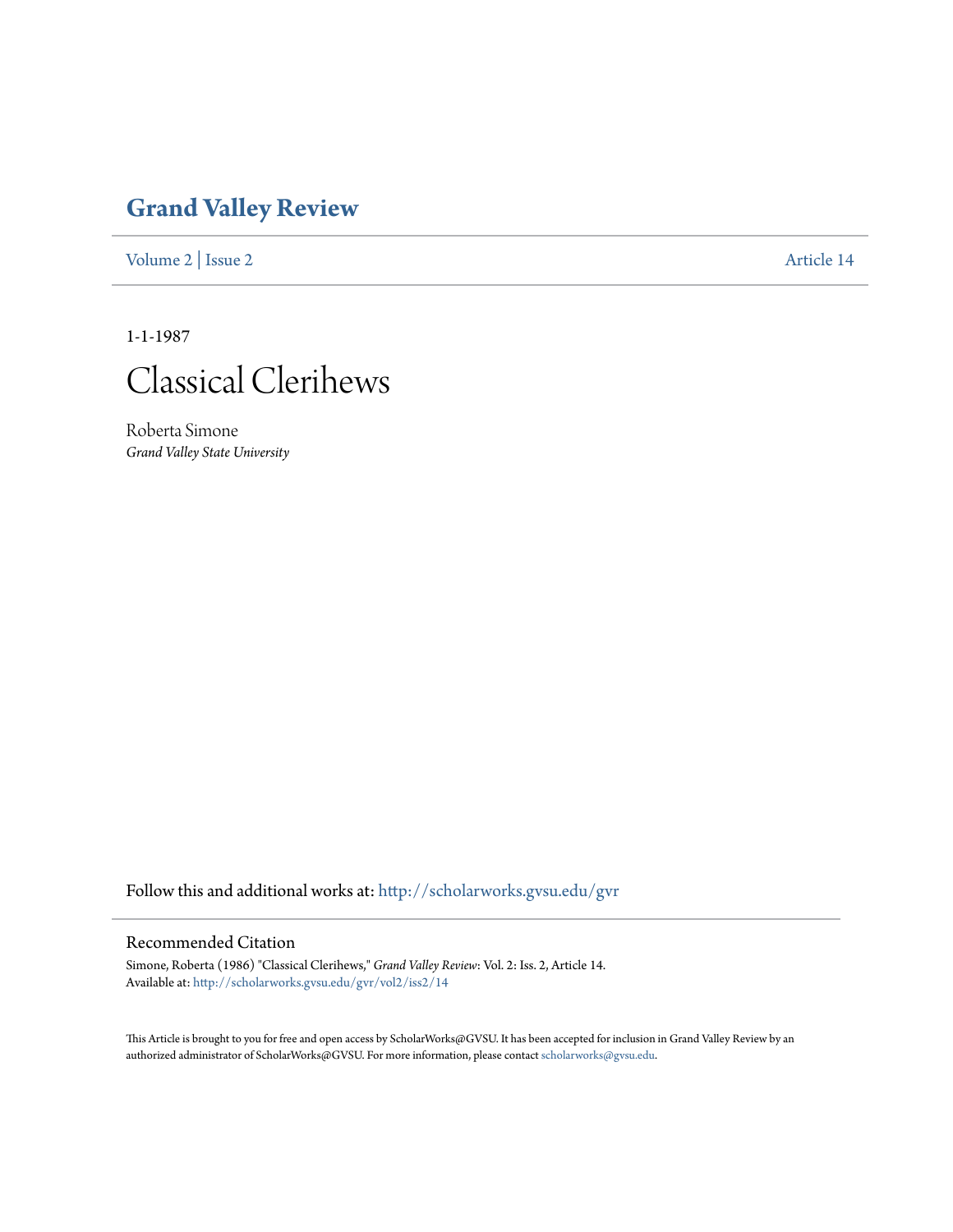## **[Grand Valley Review](http://scholarworks.gvsu.edu/gvr?utm_source=scholarworks.gvsu.edu%2Fgvr%2Fvol2%2Fiss2%2F14&utm_medium=PDF&utm_campaign=PDFCoverPages)**

[Volume 2](http://scholarworks.gvsu.edu/gvr/vol2?utm_source=scholarworks.gvsu.edu%2Fgvr%2Fvol2%2Fiss2%2F14&utm_medium=PDF&utm_campaign=PDFCoverPages) | [Issue 2](http://scholarworks.gvsu.edu/gvr/vol2/iss2?utm_source=scholarworks.gvsu.edu%2Fgvr%2Fvol2%2Fiss2%2F14&utm_medium=PDF&utm_campaign=PDFCoverPages) [Article 14](http://scholarworks.gvsu.edu/gvr/vol2/iss2/14?utm_source=scholarworks.gvsu.edu%2Fgvr%2Fvol2%2Fiss2%2F14&utm_medium=PDF&utm_campaign=PDFCoverPages)

1-1-1987



Roberta Simone *Grand Valley State University*

Follow this and additional works at: [http://scholarworks.gvsu.edu/gvr](http://scholarworks.gvsu.edu/gvr?utm_source=scholarworks.gvsu.edu%2Fgvr%2Fvol2%2Fiss2%2F14&utm_medium=PDF&utm_campaign=PDFCoverPages)

## Recommended Citation

Simone, Roberta (1986) "Classical Clerihews," *Grand Valley Review*: Vol. 2: Iss. 2, Article 14. Available at: [http://scholarworks.gvsu.edu/gvr/vol2/iss2/14](http://scholarworks.gvsu.edu/gvr/vol2/iss2/14?utm_source=scholarworks.gvsu.edu%2Fgvr%2Fvol2%2Fiss2%2F14&utm_medium=PDF&utm_campaign=PDFCoverPages)

This Article is brought to you for free and open access by ScholarWorks@GVSU. It has been accepted for inclusion in Grand Valley Review by an authorized administrator of ScholarWorks@GVSU. For more information, please contact [scholarworks@gvsu.edu.](mailto:scholarworks@gvsu.edu)